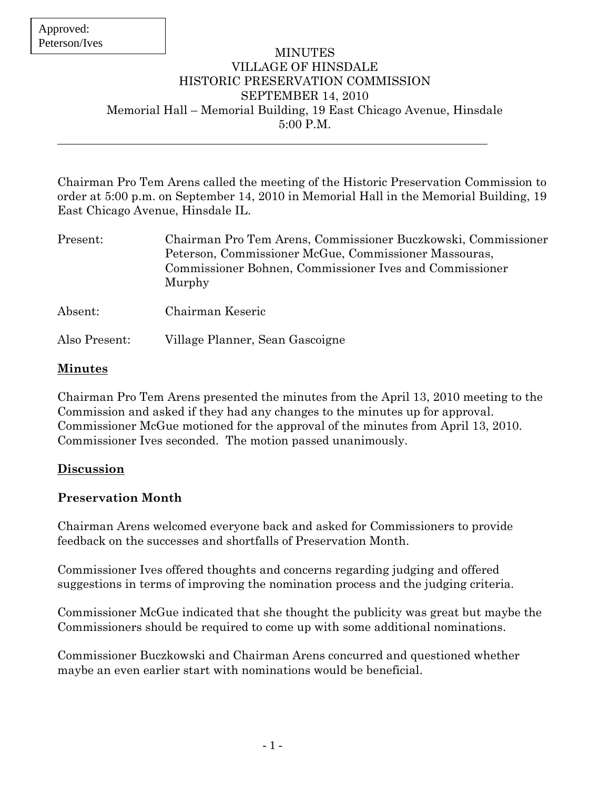#### MINUTES VILLAGE OF HINSDALE HISTORIC PRESERVATION COMMISSION SEPTEMBER 14, 2010 Memorial Hall – Memorial Building, 19 East Chicago Avenue, Hinsdale 5:00 P.M.

Chairman Pro Tem Arens called the meeting of the Historic Preservation Commission to order at 5:00 p.m. on September 14, 2010 in Memorial Hall in the Memorial Building, 19 East Chicago Avenue, Hinsdale IL.

| Present:      | Chairman Pro Tem Arens, Commissioner Buczkowski, Commissioner<br>Peterson, Commissioner McGue, Commissioner Massouras,<br>Commissioner Bohnen, Commissioner Ives and Commissioner<br>Murphy |
|---------------|---------------------------------------------------------------------------------------------------------------------------------------------------------------------------------------------|
| Absent:       | Chairman Keseric                                                                                                                                                                            |
| Also Present: | Village Planner, Sean Gascoigne                                                                                                                                                             |

#### **Minutes**

Chairman Pro Tem Arens presented the minutes from the April 13, 2010 meeting to the Commission and asked if they had any changes to the minutes up for approval. Commissioner McGue motioned for the approval of the minutes from April 13, 2010. Commissioner Ives seconded. The motion passed unanimously.

#### **Discussion**

# **Preservation Month**

Chairman Arens welcomed everyone back and asked for Commissioners to provide feedback on the successes and shortfalls of Preservation Month.

Commissioner Ives offered thoughts and concerns regarding judging and offered suggestions in terms of improving the nomination process and the judging criteria.

Commissioner McGue indicated that she thought the publicity was great but maybe the Commissioners should be required to come up with some additional nominations.

Commissioner Buczkowski and Chairman Arens concurred and questioned whether maybe an even earlier start with nominations would be beneficial.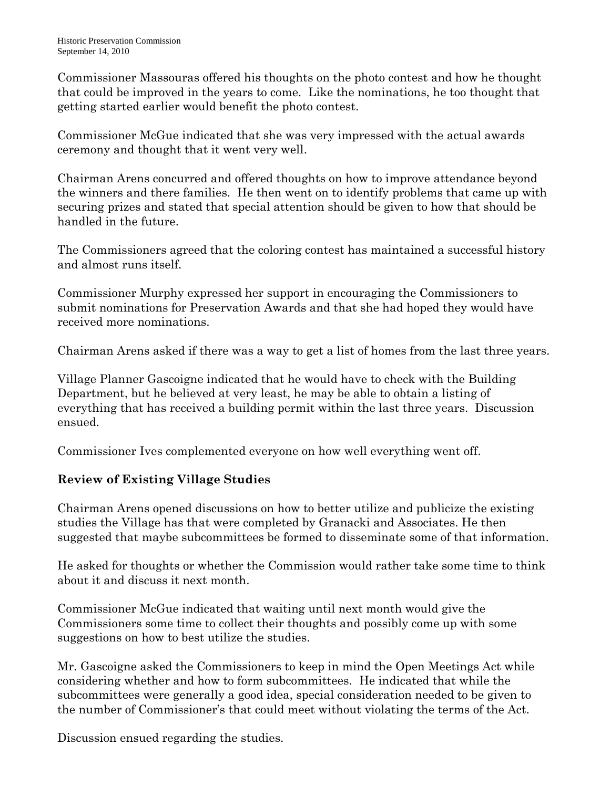Commissioner Massouras offered his thoughts on the photo contest and how he thought that could be improved in the years to come. Like the nominations, he too thought that getting started earlier would benefit the photo contest.

Commissioner McGue indicated that she was very impressed with the actual awards ceremony and thought that it went very well.

Chairman Arens concurred and offered thoughts on how to improve attendance beyond the winners and there families. He then went on to identify problems that came up with securing prizes and stated that special attention should be given to how that should be handled in the future.

The Commissioners agreed that the coloring contest has maintained a successful history and almost runs itself.

Commissioner Murphy expressed her support in encouraging the Commissioners to submit nominations for Preservation Awards and that she had hoped they would have received more nominations.

Chairman Arens asked if there was a way to get a list of homes from the last three years.

Village Planner Gascoigne indicated that he would have to check with the Building Department, but he believed at very least, he may be able to obtain a listing of everything that has received a building permit within the last three years. Discussion ensued.

Commissioner Ives complemented everyone on how well everything went off.

# **Review of Existing Village Studies**

Chairman Arens opened discussions on how to better utilize and publicize the existing studies the Village has that were completed by Granacki and Associates. He then suggested that maybe subcommittees be formed to disseminate some of that information.

He asked for thoughts or whether the Commission would rather take some time to think about it and discuss it next month.

Commissioner McGue indicated that waiting until next month would give the Commissioners some time to collect their thoughts and possibly come up with some suggestions on how to best utilize the studies.

Mr. Gascoigne asked the Commissioners to keep in mind the Open Meetings Act while considering whether and how to form subcommittees. He indicated that while the subcommittees were generally a good idea, special consideration needed to be given to the number of Commissioner's that could meet without violating the terms of the Act.

Discussion ensued regarding the studies.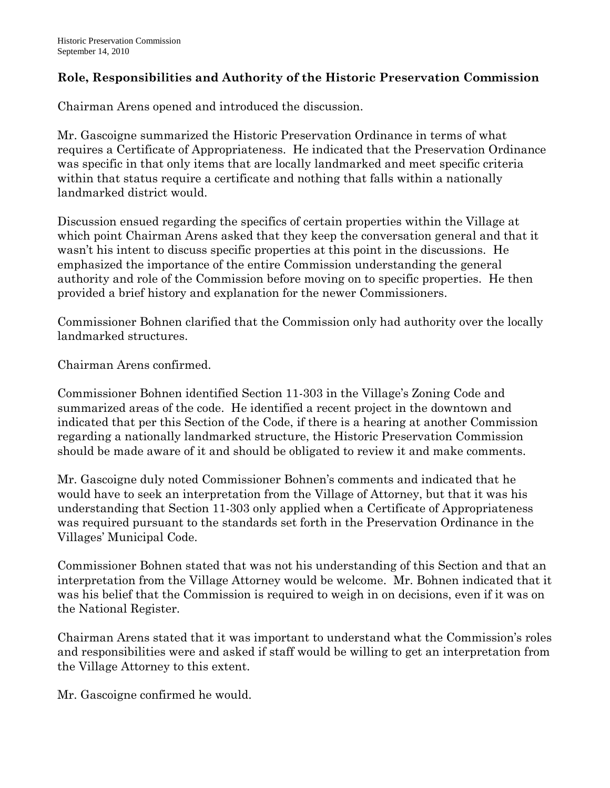### **Role, Responsibilities and Authority of the Historic Preservation Commission**

Chairman Arens opened and introduced the discussion.

Mr. Gascoigne summarized the Historic Preservation Ordinance in terms of what requires a Certificate of Appropriateness. He indicated that the Preservation Ordinance was specific in that only items that are locally landmarked and meet specific criteria within that status require a certificate and nothing that falls within a nationally landmarked district would.

Discussion ensued regarding the specifics of certain properties within the Village at which point Chairman Arens asked that they keep the conversation general and that it wasn't his intent to discuss specific properties at this point in the discussions. He emphasized the importance of the entire Commission understanding the general authority and role of the Commission before moving on to specific properties. He then provided a brief history and explanation for the newer Commissioners.

Commissioner Bohnen clarified that the Commission only had authority over the locally landmarked structures.

Chairman Arens confirmed.

Commissioner Bohnen identified Section 11-303 in the Village's Zoning Code and summarized areas of the code. He identified a recent project in the downtown and indicated that per this Section of the Code, if there is a hearing at another Commission regarding a nationally landmarked structure, the Historic Preservation Commission should be made aware of it and should be obligated to review it and make comments.

Mr. Gascoigne duly noted Commissioner Bohnen's comments and indicated that he would have to seek an interpretation from the Village of Attorney, but that it was his understanding that Section 11-303 only applied when a Certificate of Appropriateness was required pursuant to the standards set forth in the Preservation Ordinance in the Villages' Municipal Code.

Commissioner Bohnen stated that was not his understanding of this Section and that an interpretation from the Village Attorney would be welcome. Mr. Bohnen indicated that it was his belief that the Commission is required to weigh in on decisions, even if it was on the National Register.

Chairman Arens stated that it was important to understand what the Commission's roles and responsibilities were and asked if staff would be willing to get an interpretation from the Village Attorney to this extent.

Mr. Gascoigne confirmed he would.